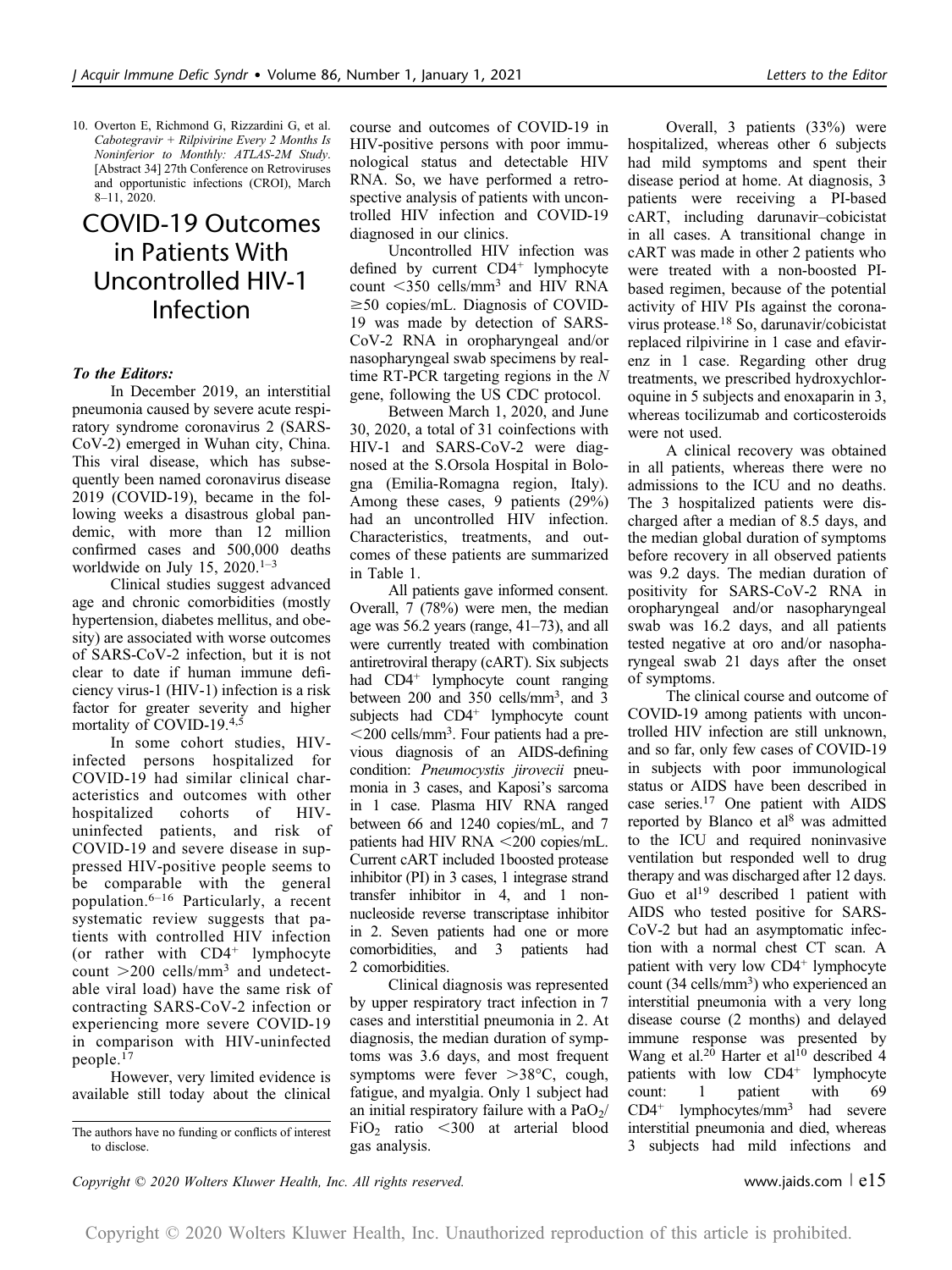10. Overton E, Richmond G, Rizzardini G, et al. Cabotegravir + Rilpivirine Every 2 Months Is Noninferior to Monthly: ATLAS-2M Study. [Abstract 34] 27th Conference on Retroviruses and opportunistic infections (CROI), March 8–11, 2020.

# COVID-19 Outcomes in Patients With Uncontrolled HIV-1 Infection

## To the Editors:

In December 2019, an interstitial pneumonia caused by severe acute respiratory syndrome coronavirus 2 (SARS-CoV-2) emerged in Wuhan city, China. This viral disease, which has subsequently been named coronavirus disease 2019 (COVID-19), became in the following weeks a disastrous global pandemic, with more than 12 million confirmed cases and 500,000 deaths worldwide on July 15,  $2020$ .<sup>1-3</sup>

Clinical studies suggest advanced age and chronic comorbidities (mostly hypertension, diabetes mellitus, and obesity) are associated with worse outcomes of SARS-CoV-2 infection, but it is not clear to date if human immune deficiency virus-1 (HIV-1) infection is a risk factor for greater severity and higher mortality of COVID-19.4,5

In some cohort studies, HIVinfected persons hospitalized for COVID-19 had similar clinical characteristics and outcomes with other hospitalized cohorts of HIVuninfected patients, and risk of COVID-19 and severe disease in suppressed HIV-positive people seems to be comparable with the general population.6–<sup>16</sup> Particularly, a recent systematic review suggests that patients with controlled HIV infection (or rather with  $CD4^+$  lymphocyte count  $>$  200 cells/mm<sup>3</sup> and undetectable viral load) have the same risk of contracting SARS-CoV-2 infection or experiencing more severe COVID-19 in comparison with HIV-uninfected people.<sup>17</sup>

However, very limited evidence is available still today about the clinical course and outcomes of COVID-19 in HIV-positive persons with poor immunological status and detectable HIV RNA. So, we have performed a retrospective analysis of patients with uncontrolled HIV infection and COVID-19 diagnosed in our clinics.

Uncontrolled HIV infection was defined by current  $CD4^+$  lymphocyte count  $\langle 350 \text{ cells/mm}^3$  and HIV RNA  $\geq$ 50 copies/mL. Diagnosis of COVID-19 was made by detection of SARS-CoV-2 RNA in oropharyngeal and/or nasopharyngeal swab specimens by realtime RT-PCR targeting regions in the N gene, following the US CDC protocol.

Between March 1, 2020, and June 30, 2020, a total of 31 coinfections with HIV-1 and SARS-CoV-2 were diagnosed at the S.Orsola Hospital in Bologna (Emilia-Romagna region, Italy). Among these cases, 9 patients (29%) had an uncontrolled HIV infection. Characteristics, treatments, and outcomes of these patients are summarized in Table 1.

All patients gave informed consent. Overall, 7 (78%) were men, the median age was 56.2 years (range, 41–73), and all were currently treated with combination antiretroviral therapy (cART). Six subjects had CD4<sup>+</sup> lymphocyte count ranging between 200 and 350 cells/mm<sup>3</sup>, and 3 subjects had CD4<sup>+</sup> lymphocyte count ,200 cells/mm3 . Four patients had a previous diagnosis of an AIDS-defining condition: Pneumocystis jirovecii pneumonia in 3 cases, and Kaposi's sarcoma in 1 case. Plasma HIV RNA ranged between 66 and 1240 copies/mL, and 7 patients had HIV RNA  $\leq$ 200 copies/mL. Current cART included 1boosted protease inhibitor (PI) in 3 cases, 1 integrase strand transfer inhibitor in 4, and 1 nonnucleoside reverse transcriptase inhibitor in 2. Seven patients had one or more comorbidities, and 3 patients had 2 comorbidities.

Clinical diagnosis was represented by upper respiratory tract infection in 7 cases and interstitial pneumonia in 2. At diagnosis, the median duration of symptoms was 3.6 days, and most frequent symptoms were fever  $>38^{\circ}$ C, cough, fatigue, and myalgia. Only 1 subject had an initial respiratory failure with a  $PaO<sub>2</sub>/$ FiO<sub>2</sub> ratio  $\lt$ 300 at arterial blood gas analysis.

Overall, 3 patients (33%) were hospitalized, whereas other 6 subjects had mild symptoms and spent their disease period at home. At diagnosis, 3 patients were receiving a PI-based cART, including darunavir–cobicistat in all cases. A transitional change in cART was made in other 2 patients who were treated with a non-boosted PIbased regimen, because of the potential activity of HIV PIs against the coronavirus protease.<sup>18</sup> So, darunavir/cobicistat replaced rilpivirine in 1 case and efavirenz in 1 case. Regarding other drug treatments, we prescribed hydroxychloroquine in 5 subjects and enoxaparin in 3, whereas tocilizumab and corticosteroids were not used.

A clinical recovery was obtained in all patients, whereas there were no admissions to the ICU and no deaths. The 3 hospitalized patients were discharged after a median of 8.5 days, and the median global duration of symptoms before recovery in all observed patients was 9.2 days. The median duration of positivity for SARS-CoV-2 RNA in oropharyngeal and/or nasopharyngeal swab was 16.2 days, and all patients tested negative at oro and/or nasopharyngeal swab 21 days after the onset of symptoms.

The clinical course and outcome of COVID-19 among patients with uncontrolled HIV infection are still unknown, and so far, only few cases of COVID-19 in subjects with poor immunological status or AIDS have been described in case series.17 One patient with AIDS reported by Blanco et al<sup>8</sup> was admitted to the ICU and required noninvasive ventilation but responded well to drug therapy and was discharged after 12 days. Guo et al<sup>19</sup> described 1 patient with AIDS who tested positive for SARS-CoV-2 but had an asymptomatic infection with a normal chest CT scan. A patient with very low CD4<sup>+</sup> lymphocyte count (34 cells/mm<sup>3</sup>) who experienced an interstitial pneumonia with a very long disease course (2 months) and delayed immune response was presented by Wang et al.<sup>20</sup> Harter et al<sup>10</sup> described 4 patients with low CD4<sup>+</sup> lymphocyte count: 1 patient with 69  $CD4^+$  lymphocytes/mm<sup>3</sup> had severe interstitial pneumonia and died, whereas 3 subjects had mild infections and

Copyright  $\odot$  2020 Wolters Kluwer Health, Inc. All rights reserved. www.jaids.com  $\lceil e15 \rceil$ 

Copyright © 2020 Wolters Kluwer Health, Inc. Unauthorized reproduction of this article is prohibited.

The authors have no funding or conflicts of interest to disclose.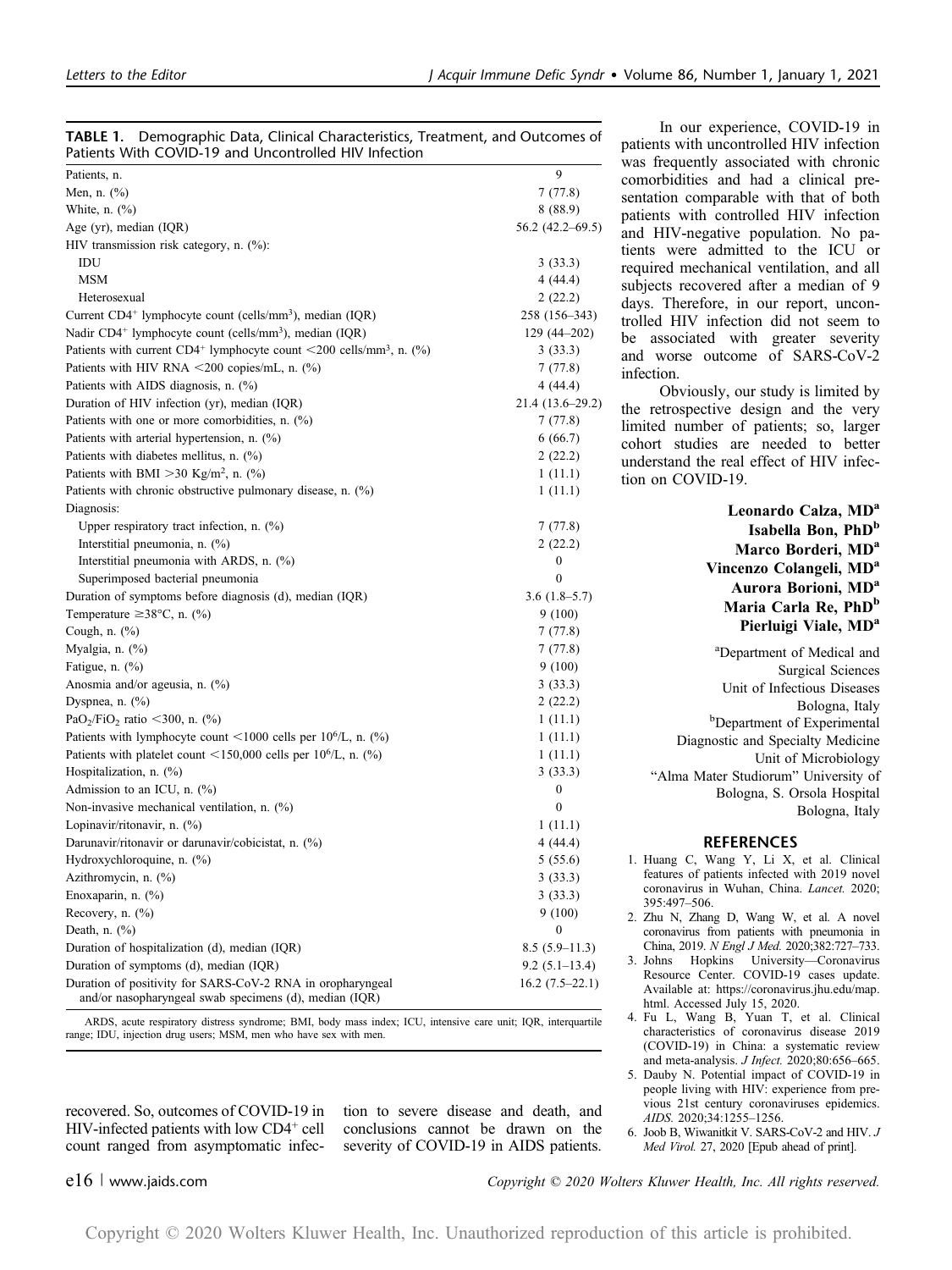| Patients With COVID-19 and Uncontrolled HIV Infection                                                                |                     |
|----------------------------------------------------------------------------------------------------------------------|---------------------|
| Patients, n.                                                                                                         | 9                   |
| Men, n. (%)                                                                                                          | 7(77.8)             |
| White, n. $(\%)$                                                                                                     | 8(88.9)             |
| Age (yr), median (IQR)                                                                                               | $56.2(42.2 - 69.5)$ |
| HIV transmission risk category, n. (%):                                                                              |                     |
| IDU                                                                                                                  | 3(33.3)             |
| MSM                                                                                                                  | 4(44.4)             |
| Heterosexual                                                                                                         | 2(22.2)             |
| Current CD4 <sup>+</sup> lymphocyte count (cells/mm <sup>3</sup> ), median (IQR)                                     | 258 (156-343)       |
| Nadir CD4 <sup>+</sup> lymphocyte count (cells/mm <sup>3</sup> ), median (IQR)                                       | $129(44 - 202)$     |
| Patients with current CD4 <sup>+</sup> lymphocyte count <200 cells/mm <sup>3</sup> , n. $(^{\circ}\!\!/\!\%)$        | 3(33.3)             |
| Patients with HIV RNA $\leq$ 200 copies/mL, n. (%)                                                                   | 7 (77.8)            |
| Patients with AIDS diagnosis, n. (%)                                                                                 | 4 (44.4)            |
| Duration of HIV infection (yr), median (IQR)                                                                         | 21.4 (13.6–29.2)    |
| Patients with one or more comorbidities, n. (%)                                                                      | 7(77.8)             |
| Patients with arterial hypertension, n. (%)                                                                          | 6(66.7)             |
| Patients with diabetes mellitus, n. (%)                                                                              | 2(22.2)             |
| Patients with BMI > 30 Kg/m <sup>2</sup> , n. $(\%$ )                                                                | 1(11.1)             |
| Patients with chronic obstructive pulmonary disease, n. (%)                                                          | 1(11.1)             |
| Diagnosis:                                                                                                           |                     |
| Upper respiratory tract infection, n. $(\%)$                                                                         | 7(77.8)             |
| Interstitial pneumonia, n. (%)                                                                                       | 2 (22.2)            |
| Interstitial pneumonia with ARDS, n. (%)                                                                             | 0                   |
| Superimposed bacterial pneumonia                                                                                     | $\boldsymbol{0}$    |
| Duration of symptoms before diagnosis (d), median (IQR)                                                              | $3.6(1.8-5.7)$      |
| Temperature $\geq$ 38°C, n. (%)                                                                                      | 9(100)              |
| Cough, n. (%)                                                                                                        | 7(77.8)             |
| Myalgia, n. (%)                                                                                                      | 7(77.8)             |
| Fatigue, n. (%)                                                                                                      | 9(100)              |
| Anosmia and/or ageusia, n. (%)                                                                                       | 3(33.3)             |
| Dyspnea, n. (%)                                                                                                      | 2(22.2)             |
| PaO <sub>2</sub> /FiO <sub>2</sub> ratio <300, n. $(\%)$                                                             | 1(11.1)             |
| Patients with lymphocyte count <1000 cells per $10^{6}/L$ , n. $(\%)$                                                | 1(11.1)             |
| Patients with platelet count <150,000 cells per $10^{6}/L$ , n. $(\%)$                                               | 1(11.1)             |
| Hospitalization, n. (%)                                                                                              | 3(33.3)             |
| Admission to an ICU, n. (%)                                                                                          | 0                   |
| Non-invasive mechanical ventilation, n. $(\%)$                                                                       | $\bf{0}$            |
| Lopinavir/ritonavir, n. (%)                                                                                          | 1(11.1)             |
| Darunavir/ritonavir or darunavir/cobicistat, n. (%)                                                                  |                     |
|                                                                                                                      | 4 (44.4)            |
| Hydroxychloroquine, n. (%)<br>Azithromycin, n. (%)                                                                   | 5(55.6)             |
|                                                                                                                      | 3(33.3)             |
| Enoxaparin, n. (%)                                                                                                   | 3 (33.3)            |
| Recovery, n. $(\%)$                                                                                                  | 9(100)              |
| Death, n. $(\%)$                                                                                                     | 0                   |
| Duration of hospitalization (d), median (IQR)                                                                        | $8.5(5.9-11.3)$     |
| Duration of symptoms (d), median (IQR)                                                                               | $9.2(5.1-13.4)$     |
| Duration of positivity for SARS-CoV-2 RNA in oropharyngeal<br>and/or nasopharyngeal swab specimens (d), median (IQR) | $16.2(7.5-22.1)$    |

TABLE 1. Demographic Data, Clinical Characteristics, Treatment, and Outcomes of

ARDS, acute respiratory distress syndrome; BMI, body mass index; ICU, intensive care unit; IQR, interquartile range; IDU, injection drug users; MSM, men who have sex with men.

recovered. So, outcomes of COVID-19 in HIV-infected patients with low CD4<sup>+</sup> cell count ranged from asymptomatic infection to severe disease and death, and conclusions cannot be drawn on the severity of COVID-19 in AIDS patients.

In our experience, COVID-19 in patients with uncontrolled HIV infection was frequently associated with chronic comorbidities and had a clinical presentation comparable with that of both patients with controlled HIV infection and HIV-negative population. No patients were admitted to the ICU or required mechanical ventilation, and all subjects recovered after a median of 9 days. Therefore, in our report, uncontrolled HIV infection did not seem to be associated with greater severity and worse outcome of SARS-CoV-2 infection.

Obviously, our study is limited by the retrospective design and the very limited number of patients; so, larger cohort studies are needed to better understand the real effect of HIV infection on COVID-19.

> Leonardo Calza, MD<sup>a</sup> Isabella Bon, PhD<sup>b</sup> Marco Borderi, MD<sup>a</sup> Vincenzo Colangeli, MD<sup>a</sup> Aurora Borioni, MD<sup>a</sup> Maria Carla Re, PhD<sup>b</sup> Pierluigi Viale, MD<sup>a</sup> <sup>a</sup>Department of Medical and Surgical Sciences Unit of Infectious Diseases Bologna, Italy<br><sup>b</sup>Department of Experimental Diagnostic and Specialty Medicine Unit of Microbiology "Alma Mater Studiorum" University of Bologna, S. Orsola Hospital Bologna, Italy

### REFERENCES

- 1. Huang C, Wang Y, Li X, et al. Clinical features of patients infected with 2019 novel coronavirus in Wuhan, China. Lancet. 2020; 395:497–506.
- 2. Zhu N, Zhang D, Wang W, et al. A novel coronavirus from patients with pneumonia in China, 2019. N Engl J Med. 2020;382:727–733.
- 3. Johns Hopkins University—Coronavirus Resource Center. COVID-19 cases update. Available at: https://coronavirus.jhu.edu/map. html. Accessed July 15, 2020.
- 4. Fu L, Wang B, Yuan T, et al. Clinical characteristics of coronavirus disease 2019 (COVID-19) in China: a systematic review and meta-analysis. J Infect. 2020;80:656–665.
- 5. Dauby N. Potential impact of COVID-19 in people living with HIV: experience from previous 21st century coronaviruses epidemics. AIDS. 2020;34:1255–1256.
- 6. Joob B, Wiwanitkit V. SARS-CoV-2 and HIV. J Med Virol. 27, 2020 [Epub ahead of print].

e16 <sup>|</sup> www.jaids.com Copyright © 2020 Wolters Kluwer Health, Inc. All rights reserved.

Copyright © 2020 Wolters Kluwer Health, Inc. Unauthorized reproduction of this article is prohibited.